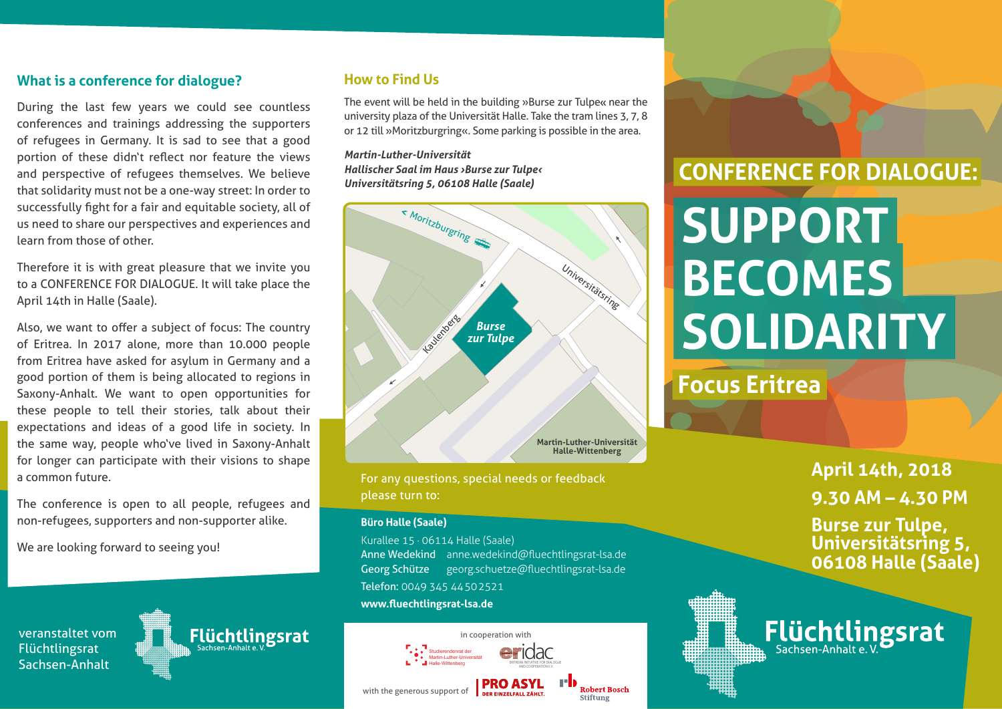#### **What is a conference for dialogue?**

During the last few years we could see countless conferences and trainings addressing the supporters of refugees in Germany. It is sad to see that a good portion of these didn't reflect nor feature the views and perspective of refugees themselves. We believe that solidarity must not be a one-way street: In order to successfully fight for a fair and equitable society, all of us need to share our perspectives and experiences and learn from those of other.

Therefore it is with great pleasure that we invite you to a CONFERENCE FOR DIALOGUE. It will take place the April 14th in Halle (Saale).

Also, we want to offer a subject of focus: The country of Eritrea. In 2017 alone, more than 10.000 people from Eritrea have asked for asylum in Germany and a good portion of them is being allocated to regions in Saxony-Anhalt. We want to open opportunities for these people to tell their stories, talk about their expectations and ideas of a good life in society. In the same way, people who've lived in Saxony-Anhalt for longer can participate with their visions to shape a common future.

The conference is open to all people, refugees and non-refugees, supporters and non-supporter alike.

Flüchtlingsrat

We are looking forward to seeing you!

veranstaltet vom Flüchtlingsrat Sachsen-Anhalt

**How to Find Us** 

The event will be held in the building »Burse zur Tulpe« near the university plaza of the Universität Halle. Take the tram lines 3, 7, 8 or 12 till »Moritzburgring«. Some parking is possible in the area.

*Martin-Luther-Universität Hallischer Saal im Haus ›Burse zur Tulpe‹ Universitätsring 5, 06108 Halle (Saale)*



For any questions, special needs or feedback please turn to:

#### **Büro Halle (Saale)**

Kurallee 15 · 06114 Halle (Saale) Anne Wedekind anne.wedekind@fluechtlingsrat-lsa.de Georg Schütze georg.schuetze@fluechtlingsrat-lsa.de Telefon: 0049 345 44502521 **www.fluechtlingsrat-lsa.de**



# **CONFERENCE FOR DIALOGUE:**

# **SUPPORT BECOMES SOLIDARITY**

# **Focus Eritrea**

**April 14th, 2018 9.30 AM – 4.30 PM**

**Burse zur Tulpe, Universitätsring 5, 06108 Halle (Saale)**

Flüchtlingsrat